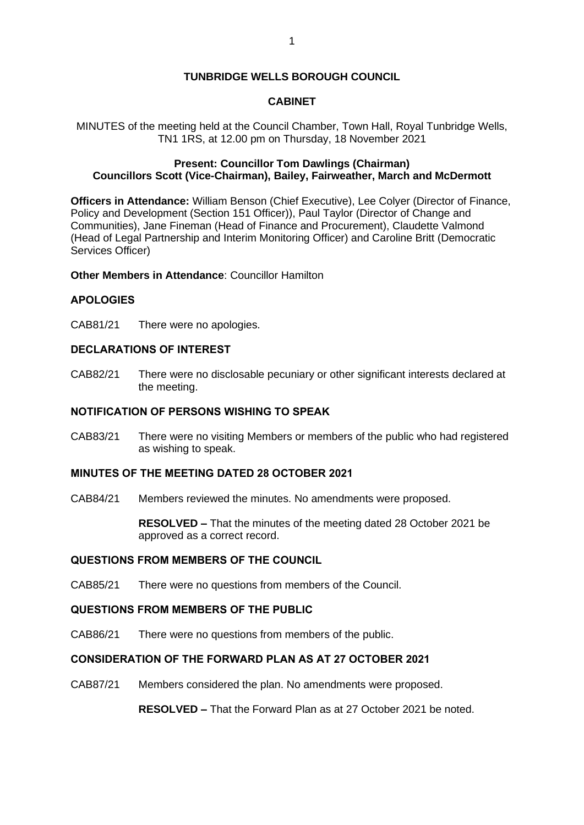# **TUNBRIDGE WELLS BOROUGH COUNCIL**

# **CABINET**

MINUTES of the meeting held at the Council Chamber, Town Hall, Royal Tunbridge Wells, TN1 1RS, at 12.00 pm on Thursday, 18 November 2021

# **Present: Councillor Tom Dawlings (Chairman) Councillors Scott (Vice-Chairman), Bailey, Fairweather, March and McDermott**

**Officers in Attendance:** William Benson (Chief Executive), Lee Colyer (Director of Finance, Policy and Development (Section 151 Officer)), Paul Taylor (Director of Change and Communities), Jane Fineman (Head of Finance and Procurement), Claudette Valmond (Head of Legal Partnership and Interim Monitoring Officer) and Caroline Britt (Democratic Services Officer)

## **Other Members in Attendance**: Councillor Hamilton

## **APOLOGIES**

CAB81/21 There were no apologies.

## **DECLARATIONS OF INTEREST**

CAB82/21 There were no disclosable pecuniary or other significant interests declared at the meeting.

## **NOTIFICATION OF PERSONS WISHING TO SPEAK**

CAB83/21 There were no visiting Members or members of the public who had registered as wishing to speak.

## **MINUTES OF THE MEETING DATED 28 OCTOBER 2021**

CAB84/21 Members reviewed the minutes. No amendments were proposed.

**RESOLVED –** That the minutes of the meeting dated 28 October 2021 be approved as a correct record.

## **QUESTIONS FROM MEMBERS OF THE COUNCIL**

CAB85/21 There were no questions from members of the Council.

#### **QUESTIONS FROM MEMBERS OF THE PUBLIC**

CAB86/21 There were no questions from members of the public.

# **CONSIDERATION OF THE FORWARD PLAN AS AT 27 OCTOBER 2021**

CAB87/21 Members considered the plan. No amendments were proposed.

**RESOLVED –** That the Forward Plan as at 27 October 2021 be noted.